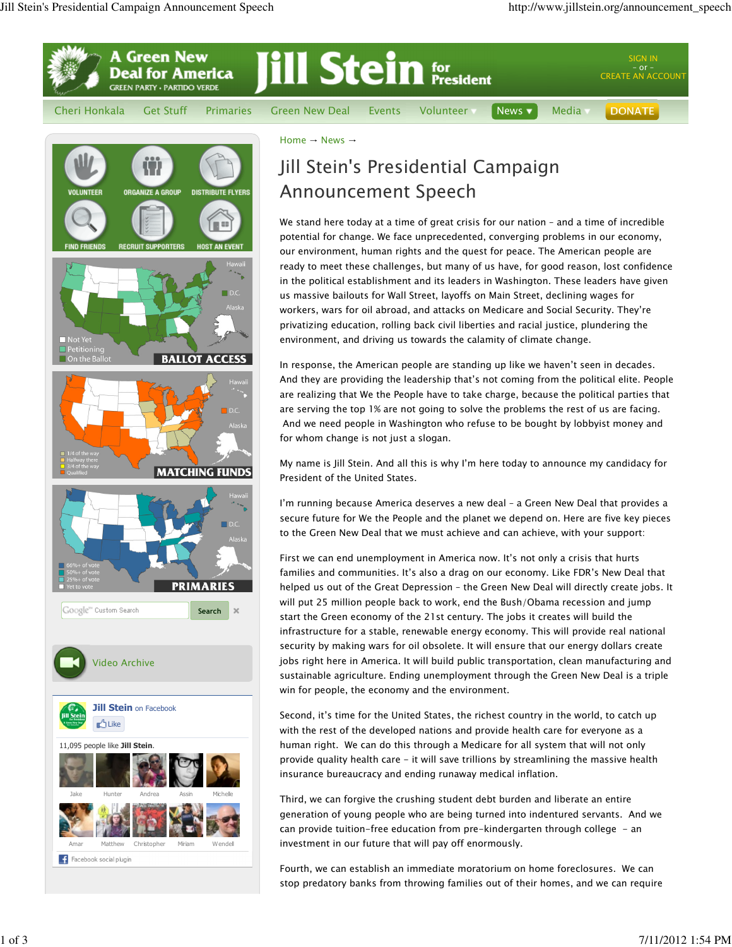

1 of 3 7/11/2012 1:54 PM

stop predatory banks from throwing families out of their homes, and we can require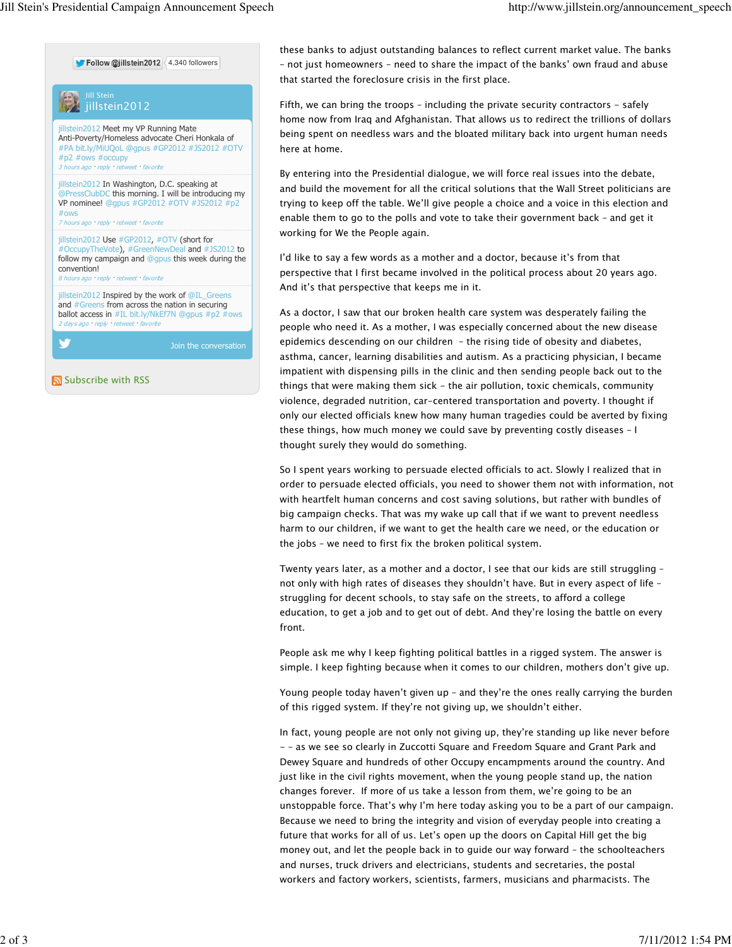

follow my campaign and @gpus this week during the convention! 8 hours ago · reply · retweet · favorite

jillstein2012 Inspired by the work of @IL\_Greens and #Greens from across the nation in securing ballot access in #IL bit.ly/NkEf7N @gpus #p2 #ows retweet · favorite

Subscribe with RSS

these banks to adjust outstanding balances to reflect current market value. The banks – not just homeowners – need to share the impact of the banks' own fraud and abuse that started the foreclosure crisis in the first place.

Fifth, we can bring the troops – including the private security contractors - safely home now from Iraq and Afghanistan. That allows us to redirect the trillions of dollars being spent on needless wars and the bloated military back into urgent human needs here at home.

By entering into the Presidential dialogue, we will force real issues into the debate, and build the movement for all the critical solutions that the Wall Street politicians are trying to keep off the table. We'll give people a choice and a voice in this election and enable them to go to the polls and vote to take their government back – and get it working for We the People again.

I'd like to say a few words as a mother and a doctor, because it's from that perspective that I first became involved in the political process about 20 years ago. And it's that perspective that keeps me in it.

As a doctor, I saw that our broken health care system was desperately failing the people who need it. As a mother, I was especially concerned about the new disease epidemics descending on our children – the rising tide of obesity and diabetes, asthma, cancer, learning disabilities and autism. As a practicing physician, I became impatient with dispensing pills in the clinic and then sending people back out to the things that were making them sick - the air pollution, toxic chemicals, community violence, degraded nutrition, car-centered transportation and poverty. I thought if only our elected officials knew how many human tragedies could be averted by fixing these things, how much money we could save by preventing costly diseases – I thought surely they would do something.

So I spent years working to persuade elected officials to act. Slowly I realized that in order to persuade elected officials, you need to shower them not with information, not with heartfelt human concerns and cost saving solutions, but rather with bundles of big campaign checks. That was my wake up call that if we want to prevent needless harm to our children, if we want to get the health care we need, or the education or the jobs – we need to first fix the broken political system.

Twenty years later, as a mother and a doctor, I see that our kids are still struggling – not only with high rates of diseases they shouldn't have. But in every aspect of life – struggling for decent schools, to stay safe on the streets, to afford a college education, to get a job and to get out of debt. And they're losing the battle on every front.

People ask me why I keep fighting political battles in a rigged system. The answer is simple. I keep fighting because when it comes to our children, mothers don't give up.

Young people today haven't given up – and they're the ones really carrying the burden of this rigged system. If they're not giving up, we shouldn't either.

In fact, young people are not only not giving up, they're standing up like never before - – as we see so clearly in Zuccotti Square and Freedom Square and Grant Park and Dewey Square and hundreds of other Occupy encampments around the country. And just like in the civil rights movement, when the young people stand up, the nation changes forever. If more of us take a lesson from them, we're going to be an unstoppable force. That's why I'm here today asking you to be a part of our campaign. Because we need to bring the integrity and vision of everyday people into creating a future that works for all of us. Let's open up the doors on Capital Hill get the big money out, and let the people back in to guide our way forward – the schoolteachers and nurses, truck drivers and electricians, students and secretaries, the postal workers and factory workers, scientists, farmers, musicians and pharmacists. The